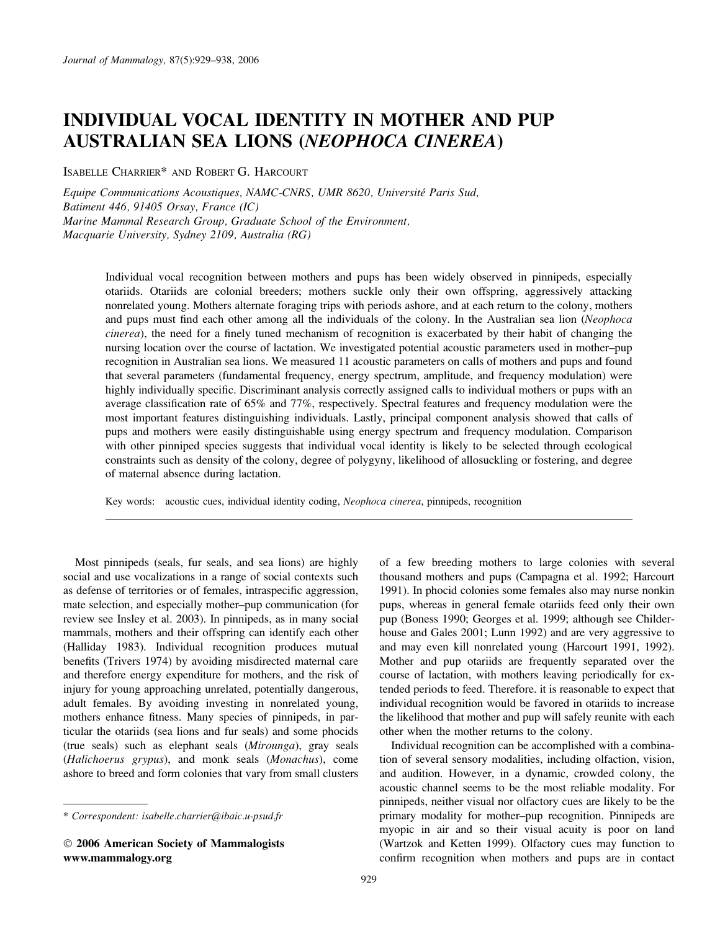# INDIVIDUAL VOCAL IDENTITY IN MOTHER AND PUP AUSTRALIAN SEA LIONS (NEOPHOCA CINEREA)

ISABELLE CHARRIER\* AND ROBERT G. HARCOURT

Equipe Communications Acoustiques, NAMC-CNRS, UMR 8620, Université Paris Sud, Batiment 446, 91405 Orsay, France (IC) Marine Mammal Research Group, Graduate School of the Environment, Macquarie University, Sydney 2109, Australia (RG)

> Individual vocal recognition between mothers and pups has been widely observed in pinnipeds, especially otariids. Otariids are colonial breeders; mothers suckle only their own offspring, aggressively attacking nonrelated young. Mothers alternate foraging trips with periods ashore, and at each return to the colony, mothers and pups must find each other among all the individuals of the colony. In the Australian sea lion (Neophoca cinerea), the need for a finely tuned mechanism of recognition is exacerbated by their habit of changing the nursing location over the course of lactation. We investigated potential acoustic parameters used in mother–pup recognition in Australian sea lions. We measured 11 acoustic parameters on calls of mothers and pups and found that several parameters (fundamental frequency, energy spectrum, amplitude, and frequency modulation) were highly individually specific. Discriminant analysis correctly assigned calls to individual mothers or pups with an average classification rate of 65% and 77%, respectively. Spectral features and frequency modulation were the most important features distinguishing individuals. Lastly, principal component analysis showed that calls of pups and mothers were easily distinguishable using energy spectrum and frequency modulation. Comparison with other pinniped species suggests that individual vocal identity is likely to be selected through ecological constraints such as density of the colony, degree of polygyny, likelihood of allosuckling or fostering, and degree of maternal absence during lactation.

Key words: acoustic cues, individual identity coding, Neophoca cinerea, pinnipeds, recognition

Most pinnipeds (seals, fur seals, and sea lions) are highly social and use vocalizations in a range of social contexts such as defense of territories or of females, intraspecific aggression, mate selection, and especially mother–pup communication (for review see Insley et al. 2003). In pinnipeds, as in many social mammals, mothers and their offspring can identify each other (Halliday 1983). Individual recognition produces mutual benefits (Trivers 1974) by avoiding misdirected maternal care and therefore energy expenditure for mothers, and the risk of injury for young approaching unrelated, potentially dangerous, adult females. By avoiding investing in nonrelated young, mothers enhance fitness. Many species of pinnipeds, in particular the otariids (sea lions and fur seals) and some phocids (true seals) such as elephant seals (Mirounga), gray seals (Halichoerus grypus), and monk seals (Monachus), come ashore to breed and form colonies that vary from small clusters of a few breeding mothers to large colonies with several thousand mothers and pups (Campagna et al. 1992; Harcourt 1991). In phocid colonies some females also may nurse nonkin pups, whereas in general female otariids feed only their own pup (Boness 1990; Georges et al. 1999; although see Childerhouse and Gales 2001; Lunn 1992) and are very aggressive to and may even kill nonrelated young (Harcourt 1991, 1992). Mother and pup otariids are frequently separated over the course of lactation, with mothers leaving periodically for extended periods to feed. Therefore. it is reasonable to expect that individual recognition would be favored in otariids to increase the likelihood that mother and pup will safely reunite with each other when the mother returns to the colony.

Individual recognition can be accomplished with a combination of several sensory modalities, including olfaction, vision, and audition. However, in a dynamic, crowded colony, the acoustic channel seems to be the most reliable modality. For pinnipeds, neither visual nor olfactory cues are likely to be the primary modality for mother–pup recognition. Pinnipeds are myopic in air and so their visual acuity is poor on land (Wartzok and Ketten 1999). Olfactory cues may function to confirm recognition when mothers and pups are in contact

<sup>\*</sup> Correspondent: isabelle.charrier@ibaic.u-psud.fr

2006 American Society of Mammalogists www.mammalogy.org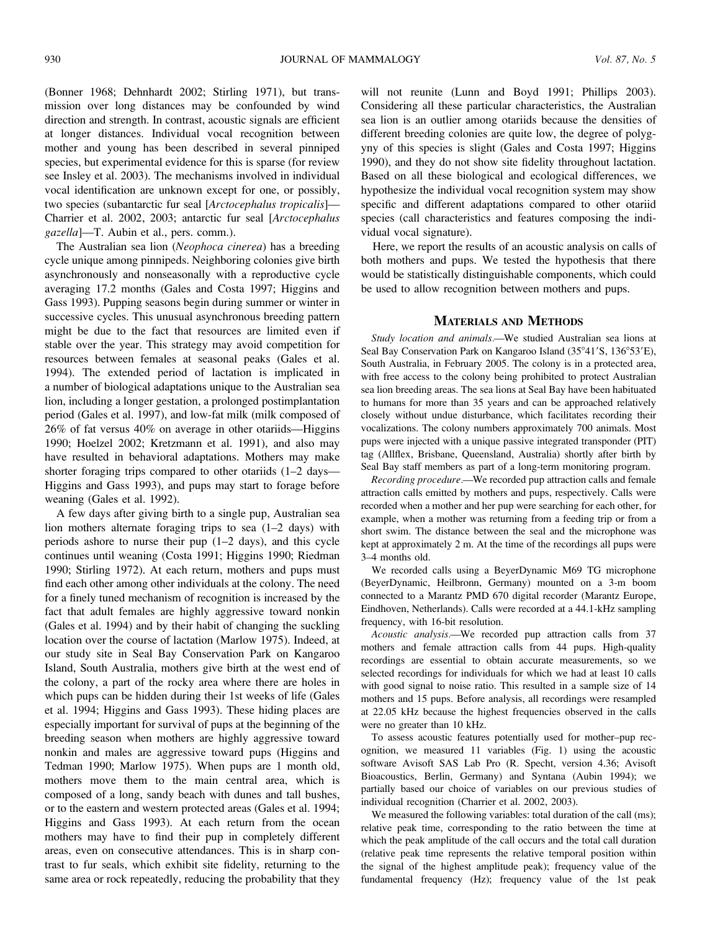(Bonner 1968; Dehnhardt 2002; Stirling 1971), but transmission over long distances may be confounded by wind direction and strength. In contrast, acoustic signals are efficient at longer distances. Individual vocal recognition between mother and young has been described in several pinniped species, but experimental evidence for this is sparse (for review see Insley et al. 2003). The mechanisms involved in individual vocal identification are unknown except for one, or possibly, two species (subantarctic fur seal [Arctocephalus tropicalis]— Charrier et al. 2002, 2003; antarctic fur seal [Arctocephalus gazella]—T. Aubin et al., pers. comm.).

The Australian sea lion (Neophoca cinerea) has a breeding cycle unique among pinnipeds. Neighboring colonies give birth asynchronously and nonseasonally with a reproductive cycle averaging 17.2 months (Gales and Costa 1997; Higgins and Gass 1993). Pupping seasons begin during summer or winter in successive cycles. This unusual asynchronous breeding pattern might be due to the fact that resources are limited even if stable over the year. This strategy may avoid competition for resources between females at seasonal peaks (Gales et al. 1994). The extended period of lactation is implicated in a number of biological adaptations unique to the Australian sea lion, including a longer gestation, a prolonged postimplantation period (Gales et al. 1997), and low-fat milk (milk composed of 26% of fat versus 40% on average in other otariids—Higgins 1990; Hoelzel 2002; Kretzmann et al. 1991), and also may have resulted in behavioral adaptations. Mothers may make shorter foraging trips compared to other otariids (1–2 days— Higgins and Gass 1993), and pups may start to forage before weaning (Gales et al. 1992).

A few days after giving birth to a single pup, Australian sea lion mothers alternate foraging trips to sea (1–2 days) with periods ashore to nurse their pup (1–2 days), and this cycle continues until weaning (Costa 1991; Higgins 1990; Riedman 1990; Stirling 1972). At each return, mothers and pups must find each other among other individuals at the colony. The need for a finely tuned mechanism of recognition is increased by the fact that adult females are highly aggressive toward nonkin (Gales et al. 1994) and by their habit of changing the suckling location over the course of lactation (Marlow 1975). Indeed, at our study site in Seal Bay Conservation Park on Kangaroo Island, South Australia, mothers give birth at the west end of the colony, a part of the rocky area where there are holes in which pups can be hidden during their 1st weeks of life (Gales et al. 1994; Higgins and Gass 1993). These hiding places are especially important for survival of pups at the beginning of the breeding season when mothers are highly aggressive toward nonkin and males are aggressive toward pups (Higgins and Tedman 1990; Marlow 1975). When pups are 1 month old, mothers move them to the main central area, which is composed of a long, sandy beach with dunes and tall bushes, or to the eastern and western protected areas (Gales et al. 1994; Higgins and Gass 1993). At each return from the ocean mothers may have to find their pup in completely different areas, even on consecutive attendances. This is in sharp contrast to fur seals, which exhibit site fidelity, returning to the same area or rock repeatedly, reducing the probability that they

will not reunite (Lunn and Boyd 1991; Phillips 2003). Considering all these particular characteristics, the Australian sea lion is an outlier among otariids because the densities of different breeding colonies are quite low, the degree of polygyny of this species is slight (Gales and Costa 1997; Higgins 1990), and they do not show site fidelity throughout lactation. Based on all these biological and ecological differences, we hypothesize the individual vocal recognition system may show specific and different adaptations compared to other otariid species (call characteristics and features composing the individual vocal signature).

Here, we report the results of an acoustic analysis on calls of both mothers and pups. We tested the hypothesis that there would be statistically distinguishable components, which could be used to allow recognition between mothers and pups.

#### MATERIALS AND METHODS

Study location and animals.—We studied Australian sea lions at Seal Bay Conservation Park on Kangaroo Island (35°41′S, 136°53′E), South Australia, in February 2005. The colony is in a protected area, with free access to the colony being prohibited to protect Australian sea lion breeding areas. The sea lions at Seal Bay have been habituated to humans for more than 35 years and can be approached relatively closely without undue disturbance, which facilitates recording their vocalizations. The colony numbers approximately 700 animals. Most pups were injected with a unique passive integrated transponder (PIT) tag (Allflex, Brisbane, Queensland, Australia) shortly after birth by Seal Bay staff members as part of a long-term monitoring program.

Recording procedure.—We recorded pup attraction calls and female attraction calls emitted by mothers and pups, respectively. Calls were recorded when a mother and her pup were searching for each other, for example, when a mother was returning from a feeding trip or from a short swim. The distance between the seal and the microphone was kept at approximately 2 m. At the time of the recordings all pups were 3–4 months old.

We recorded calls using a BeyerDynamic M69 TG microphone (BeyerDynamic, Heilbronn, Germany) mounted on a 3-m boom connected to a Marantz PMD 670 digital recorder (Marantz Europe, Eindhoven, Netherlands). Calls were recorded at a 44.1-kHz sampling frequency, with 16-bit resolution.

Acoustic analysis.—We recorded pup attraction calls from 37 mothers and female attraction calls from 44 pups. High-quality recordings are essential to obtain accurate measurements, so we selected recordings for individuals for which we had at least 10 calls with good signal to noise ratio. This resulted in a sample size of 14 mothers and 15 pups. Before analysis, all recordings were resampled at 22.05 kHz because the highest frequencies observed in the calls were no greater than 10 kHz.

To assess acoustic features potentially used for mother–pup recognition, we measured 11 variables (Fig. 1) using the acoustic software Avisoft SAS Lab Pro (R. Specht, version 4.36; Avisoft Bioacoustics, Berlin, Germany) and Syntana (Aubin 1994); we partially based our choice of variables on our previous studies of individual recognition (Charrier et al. 2002, 2003).

We measured the following variables: total duration of the call (ms); relative peak time, corresponding to the ratio between the time at which the peak amplitude of the call occurs and the total call duration (relative peak time represents the relative temporal position within the signal of the highest amplitude peak); frequency value of the fundamental frequency (Hz); frequency value of the 1st peak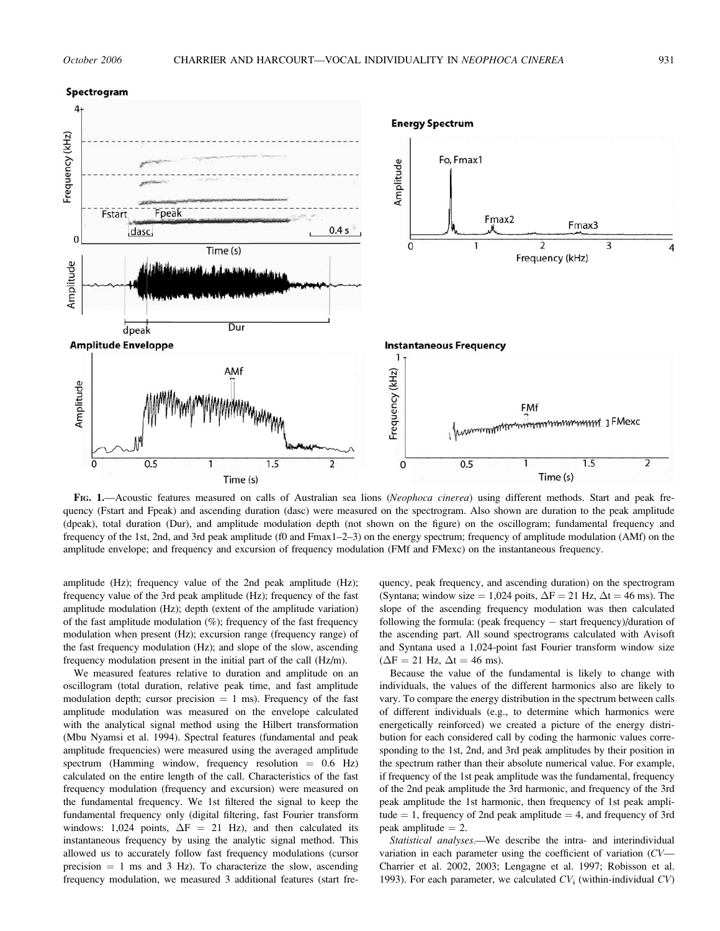## Spectrogram



FIG. 1.—Acoustic features measured on calls of Australian sea lions (Neophoca cinerea) using different methods. Start and peak frequency (Fstart and Fpeak) and ascending duration (dasc) were measured on the spectrogram. Also shown are duration to the peak amplitude (dpeak), total duration (Dur), and amplitude modulation depth (not shown on the figure) on the oscillogram; fundamental frequency and frequency of the 1st, 2nd, and 3rd peak amplitude (f0 and Fmax1–2–3) on the energy spectrum; frequency of amplitude modulation (AMf) on the amplitude envelope; and frequency and excursion of frequency modulation (FMf and FMexc) on the instantaneous frequency.

amplitude (Hz); frequency value of the 2nd peak amplitude (Hz); frequency value of the 3rd peak amplitude (Hz); frequency of the fast amplitude modulation (Hz); depth (extent of the amplitude variation) of the fast amplitude modulation  $(\%)$ ; frequency of the fast frequency modulation when present (Hz); excursion range (frequency range) of the fast frequency modulation (Hz); and slope of the slow, ascending frequency modulation present in the initial part of the call (Hz/m).

We measured features relative to duration and amplitude on an oscillogram (total duration, relative peak time, and fast amplitude modulation depth; cursor precision  $= 1$  ms). Frequency of the fast amplitude modulation was measured on the envelope calculated with the analytical signal method using the Hilbert transformation (Mbu Nyamsi et al. 1994). Spectral features (fundamental and peak amplitude frequencies) were measured using the averaged amplitude spectrum (Hamming window, frequency resolution  $= 0.6$  Hz) calculated on the entire length of the call. Characteristics of the fast frequency modulation (frequency and excursion) were measured on the fundamental frequency. We 1st filtered the signal to keep the fundamental frequency only (digital filtering, fast Fourier transform windows: 1,024 points,  $\Delta F = 21$  Hz), and then calculated its instantaneous frequency by using the analytic signal method. This allowed us to accurately follow fast frequency modulations (cursor precision  $= 1$  ms and 3 Hz). To characterize the slow, ascending frequency modulation, we measured 3 additional features (start frequency, peak frequency, and ascending duration) on the spectrogram (Syntana; window size = 1,024 poits,  $\Delta F = 21$  Hz,  $\Delta t = 46$  ms). The slope of the ascending frequency modulation was then calculated following the formula: (peak frequency  $-$  start frequency)/duration of the ascending part. All sound spectrograms calculated with Avisoft and Syntana used a 1,024-point fast Fourier transform window size  $(\Delta F = 21$  Hz,  $\Delta t = 46$  ms).

Because the value of the fundamental is likely to change with individuals, the values of the different harmonics also are likely to vary. To compare the energy distribution in the spectrum between calls of different individuals (e.g., to determine which harmonics were energetically reinforced) we created a picture of the energy distribution for each considered call by coding the harmonic values corresponding to the 1st, 2nd, and 3rd peak amplitudes by their position in the spectrum rather than their absolute numerical value. For example, if frequency of the 1st peak amplitude was the fundamental, frequency of the 2nd peak amplitude the 3rd harmonic, and frequency of the 3rd peak amplitude the 1st harmonic, then frequency of 1st peak amplitude  $= 1$ , frequency of 2nd peak amplitude  $= 4$ , and frequency of 3rd peak amplitude  $= 2$ .

Statistical analyses.—We describe the intra- and interindividual variation in each parameter using the coefficient of variation (CV— Charrier et al. 2002, 2003; Lengagne et al. 1997; Robisson et al. 1993). For each parameter, we calculated  $CV_i$  (within-individual  $CV$ )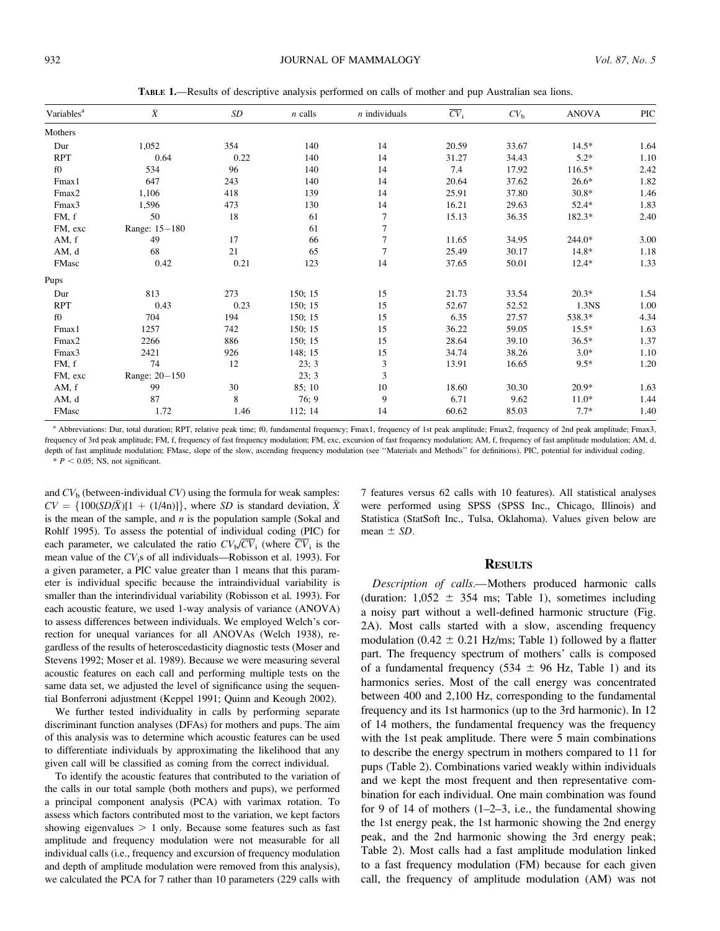TABLE 1.—Results of descriptive analysis performed on calls of mother and pup Australian sea lions.

| Variables <sup>a</sup> | $\bar{X}$     | SD   | $n$ calls | $n$ individuals | $\overline{CV}_i$ | CV <sub>b</sub> | <b>ANOVA</b>      | PIC  |
|------------------------|---------------|------|-----------|-----------------|-------------------|-----------------|-------------------|------|
| Mothers                |               |      |           |                 |                   |                 |                   |      |
| Dur                    | 1,052         | 354  | 140       | 14              | 20.59             | 33.67           | $14.5*$           | 1.64 |
| <b>RPT</b>             | 0.64          | 0.22 | 140       | 14              | 31.27             | 34.43           | $5.2*$            | 1.10 |
| f0                     | 534           | 96   | 140       | 14              | 7.4               | 17.92           | $116.5*$          | 2.42 |
| Fmax1                  | 647           | 243  | 140       | 14              | 20.64             | 37.62           | $26.6*$           | 1.82 |
| Fmax2                  | 1,106         | 418  | 139       | 14              | 25.91             | 37.80           | $30.8*$           | 1.46 |
| Fmax3                  | 1,596         | 473  | 130       | 14              | 16.21             | 29.63           | $52.4*$           | 1.83 |
| FM, f                  | 50            | 18   | 61        | $\overline{7}$  | 15.13             | 36.35           | 182.3*            | 2.40 |
| FM, exc                | Range: 15-180 |      | 61        | $\tau$          |                   |                 |                   |      |
| AM, f                  | 49            | 17   | 66        | $\overline{7}$  | 11.65             | 34.95           | 244.0*            | 3.00 |
| AM, d                  | 68            | 21   | 65        | $\overline{7}$  | 25.49             | 30.17           | $14.8*$           | 1.18 |
| FMasc                  | 0.42          | 0.21 | 123       | 14              | 37.65             | 50.01           | $12.4*$           | 1.33 |
| Pups                   |               |      |           |                 |                   |                 |                   |      |
| Dur                    | 813           | 273  | 150; 15   | 15              | 21.73             | 33.54           | $20.3*$           | 1.54 |
| <b>RPT</b>             | 0.43          | 0.23 | 150; 15   | 15              | 52.67             | 52.52           | 1.3 <sub>NS</sub> | 1.00 |
| f0                     | 704           | 194  | 150; 15   | 15              | 6.35              | 27.57           | 538.3*            | 4.34 |
| Fmax1                  | 1257          | 742  | 150; 15   | 15              | 36.22             | 59.05           | $15.5*$           | 1.63 |
| Fmax <sub>2</sub>      | 2266          | 886  | 150; 15   | 15              | 28.64             | 39.10           | $36.5*$           | 1.37 |
| Fmax3                  | 2421          | 926  | 148; 15   | 15              | 34.74             | 38.26           | $3.0*$            | 1.10 |
| FM, f                  | 74            | 12   | 23; 3     | 3               | 13.91             | 16.65           | $9.5*$            | 1.20 |
| FM, exc                | Range: 20-150 |      | 23; 3     | 3               |                   |                 |                   |      |
| AM, f                  | 99            | 30   | 85;10     | 10              | 18.60             | 30.30           | $20.9*$           | 1.63 |
| AM, d                  | 87            | 8    | 76; 9     | 9               | 6.71              | 9.62            | $11.0*$           | 1.44 |
| FMasc                  | 1.72          | 1.46 | 112; 14   | 14              | 60.62             | 85.03           | $7.7*$            | 1.40 |

<sup>a</sup> Abbreviations: Dur, total duration; RPT, relative peak time; f0, fundamental frequency; Fmax1, frequency of 1st peak amplitude; Fmax2, frequency of 2nd peak amplitude; Fmax3, frequency of 3rd peak amplitude; FM, f, frequency of fast frequency modulation; FM, exc, excursion of fast frequency modulation; AM, f, frequency of fast amplitude modulation; AM, d, depth of fast amplitude modulation; FMasc, slope of the slow, ascending frequency modulation (see "Materials and Methods" for definitions). PIC, potential for individual coding.  $* P < 0.05$ ; NS, not significant.

and  $CV_b$  (between-individual  $CV$ ) using the formula for weak samples:  $CV = \{100(SD/\bar{X})[1 + (1/4n)]\}$ , where SD is standard deviation,  $\bar{X}$ is the mean of the sample, and  $n$  is the population sample (Sokal and Rohlf 1995). To assess the potential of individual coding (PIC) for each parameter, we calculated the ratio  $CV_b/\overline{CV}_i$  (where  $\overline{CV}_i$  is the mean value of the CV<sub>i</sub>s of all individuals—Robisson et al. 1993). For a given parameter, a PIC value greater than 1 means that this parameter is individual specific because the intraindividual variability is smaller than the interindividual variability (Robisson et al. 1993). For each acoustic feature, we used 1-way analysis of variance (ANOVA) to assess differences between individuals. We employed Welch's correction for unequal variances for all ANOVAs (Welch 1938), regardless of the results of heteroscedasticity diagnostic tests (Moser and Stevens 1992; Moser et al. 1989). Because we were measuring several acoustic features on each call and performing multiple tests on the same data set, we adjusted the level of significance using the sequential Bonferroni adjustment (Keppel 1991; Quinn and Keough 2002).

We further tested individuality in calls by performing separate discriminant function analyses (DFAs) for mothers and pups. The aim of this analysis was to determine which acoustic features can be used to differentiate individuals by approximating the likelihood that any given call will be classified as coming from the correct individual.

To identify the acoustic features that contributed to the variation of the calls in our total sample (both mothers and pups), we performed a principal component analysis (PCA) with varimax rotation. To assess which factors contributed most to the variation, we kept factors showing eigenvalues  $> 1$  only. Because some features such as fast amplitude and frequency modulation were not measurable for all individual calls (i.e., frequency and excursion of frequency modulation and depth of amplitude modulation were removed from this analysis), we calculated the PCA for 7 rather than 10 parameters (229 calls with

7 features versus 62 calls with 10 features). All statistical analyses were performed using SPSS (SPSS Inc., Chicago, Illinois) and Statistica (StatSoft Inc., Tulsa, Oklahoma). Values given below are mean  $\pm$  SD.

#### **RESULTS**

Description of calls.—Mothers produced harmonic calls (duration:  $1,052 \pm 354$  ms; Table 1), sometimes including a noisy part without a well-defined harmonic structure (Fig. 2A). Most calls started with a slow, ascending frequency modulation (0.42  $\pm$  0.21 Hz/ms; Table 1) followed by a flatter part. The frequency spectrum of mothers' calls is composed of a fundamental frequency (534  $\pm$  96 Hz, Table 1) and its harmonics series. Most of the call energy was concentrated between 400 and 2,100 Hz, corresponding to the fundamental frequency and its 1st harmonics (up to the 3rd harmonic). In 12 of 14 mothers, the fundamental frequency was the frequency with the 1st peak amplitude. There were 5 main combinations to describe the energy spectrum in mothers compared to 11 for pups (Table 2). Combinations varied weakly within individuals and we kept the most frequent and then representative combination for each individual. One main combination was found for 9 of 14 of mothers  $(1-2-3, i.e.,$  the fundamental showing the 1st energy peak, the 1st harmonic showing the 2nd energy peak, and the 2nd harmonic showing the 3rd energy peak; Table 2). Most calls had a fast amplitude modulation linked to a fast frequency modulation (FM) because for each given call, the frequency of amplitude modulation (AM) was not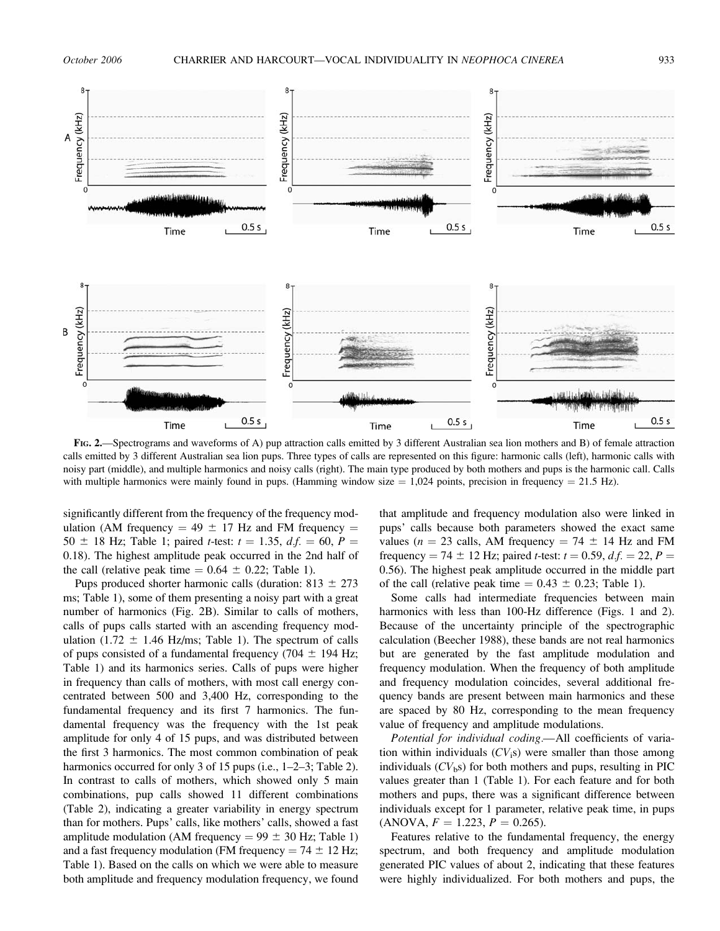

FIG. 2.—Spectrograms and waveforms of A) pup attraction calls emitted by 3 different Australian sea lion mothers and B) of female attraction calls emitted by 3 different Australian sea lion pups. Three types of calls are represented on this figure: harmonic calls (left), harmonic calls with noisy part (middle), and multiple harmonics and noisy calls (right). The main type produced by both mothers and pups is the harmonic call. Calls with multiple harmonics were mainly found in pups. (Hamming window size  $= 1,024$  points, precision in frequency  $= 21.5$  Hz).

significantly different from the frequency of the frequency modulation (AM frequency  $= 49 \pm 17$  Hz and FM frequency  $=$ 50  $\pm$  18 Hz; Table 1; paired *t*-test:  $t = 1.35$ ,  $df = 60$ ,  $P =$ 0.18). The highest amplitude peak occurred in the 2nd half of the call (relative peak time  $= 0.64 \pm 0.22$ ; Table 1).

Pups produced shorter harmonic calls (duration:  $813 \pm 273$ ms; Table 1), some of them presenting a noisy part with a great number of harmonics (Fig. 2B). Similar to calls of mothers, calls of pups calls started with an ascending frequency modulation (1.72  $\pm$  1.46 Hz/ms; Table 1). The spectrum of calls of pups consisted of a fundamental frequency (704  $\pm$  194 Hz; Table 1) and its harmonics series. Calls of pups were higher in frequency than calls of mothers, with most call energy concentrated between 500 and 3,400 Hz, corresponding to the fundamental frequency and its first 7 harmonics. The fundamental frequency was the frequency with the 1st peak amplitude for only 4 of 15 pups, and was distributed between the first 3 harmonics. The most common combination of peak harmonics occurred for only 3 of 15 pups (i.e., 1-2-3; Table 2). In contrast to calls of mothers, which showed only 5 main combinations, pup calls showed 11 different combinations (Table 2), indicating a greater variability in energy spectrum than for mothers. Pups' calls, like mothers' calls, showed a fast amplitude modulation (AM frequency =  $99 \pm 30$  Hz; Table 1) and a fast frequency modulation (FM frequency  $= 74 \pm 12$  Hz; Table 1). Based on the calls on which we were able to measure both amplitude and frequency modulation frequency, we found that amplitude and frequency modulation also were linked in pups' calls because both parameters showed the exact same values ( $n = 23$  calls, AM frequency = 74  $\pm$  14 Hz and FM frequency = 74  $\pm$  12 Hz; paired *t*-test:  $t = 0.59$ ,  $df = 22$ ,  $P =$ 0.56). The highest peak amplitude occurred in the middle part of the call (relative peak time  $= 0.43 \pm 0.23$ ; Table 1).

Some calls had intermediate frequencies between main harmonics with less than 100-Hz difference (Figs. 1 and 2). Because of the uncertainty principle of the spectrographic calculation (Beecher 1988), these bands are not real harmonics but are generated by the fast amplitude modulation and frequency modulation. When the frequency of both amplitude and frequency modulation coincides, several additional frequency bands are present between main harmonics and these are spaced by 80 Hz, corresponding to the mean frequency value of frequency and amplitude modulations.

Potential for individual coding.—All coefficients of variation within individuals  $(CV<sub>i</sub>s)$  were smaller than those among individuals  $(CV_b s)$  for both mothers and pups, resulting in PIC values greater than 1 (Table 1). For each feature and for both mothers and pups, there was a significant difference between individuals except for 1 parameter, relative peak time, in pups  $(ANOVA, F = 1.223, P = 0.265).$ 

Features relative to the fundamental frequency, the energy spectrum, and both frequency and amplitude modulation generated PIC values of about 2, indicating that these features were highly individualized. For both mothers and pups, the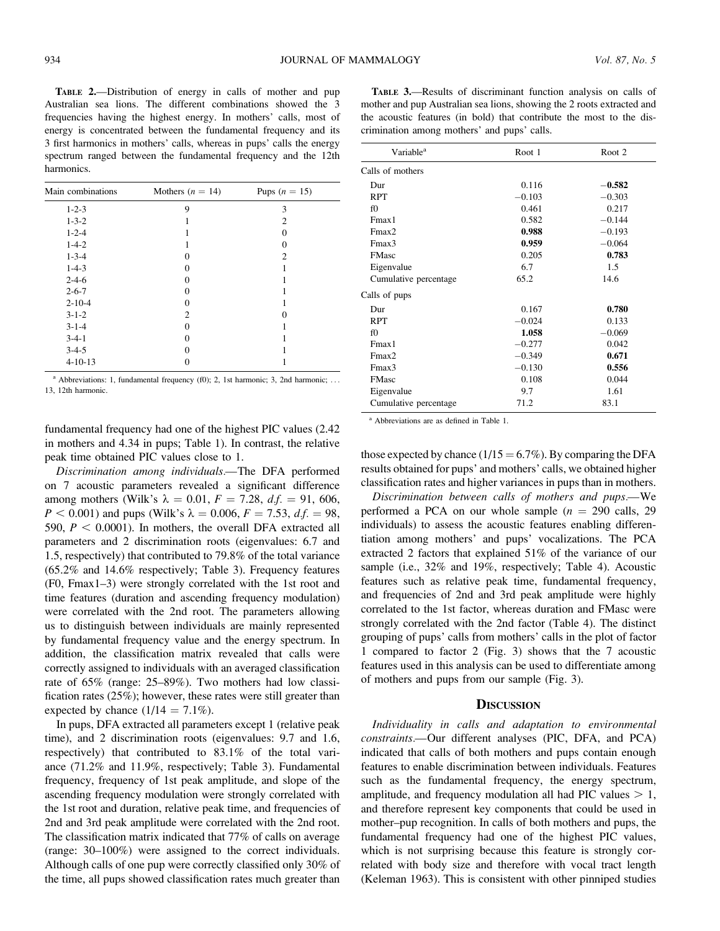TABLE 2.—Distribution of energy in calls of mother and pup Australian sea lions. The different combinations showed the 3 frequencies having the highest energy. In mothers' calls, most of energy is concentrated between the fundamental frequency and its 3 first harmonics in mothers' calls, whereas in pups' calls the energy spectrum ranged between the fundamental frequency and the 12th harmonics.

| Main combinations | Mothers $(n = 14)$ | Pups $(n = 15)$ |
|-------------------|--------------------|-----------------|
| $1 - 2 - 3$       | 9                  | 3               |
| $1 - 3 - 2$       |                    | 2               |
| $1 - 2 - 4$       |                    |                 |
| $1 - 4 - 2$       |                    |                 |
| $1 - 3 - 4$       |                    | 2               |
| $1 - 4 - 3$       |                    |                 |
| $2 - 4 - 6$       |                    |                 |
| $2 - 6 - 7$       |                    |                 |
| $2 - 10 - 4$      |                    |                 |
| $3 - 1 - 2$       | 2                  |                 |
| $3 - 1 - 4$       |                    |                 |
| $3-4-1$           |                    |                 |
| $3-4-5$           |                    |                 |
| $4 - 10 - 13$     |                    |                 |

<sup>a</sup> Abbreviations: 1, fundamental frequency (f0); 2, 1st harmonic; 3, 2nd harmonic; ... 13, 12th harmonic.

fundamental frequency had one of the highest PIC values (2.42 in mothers and 4.34 in pups; Table 1). In contrast, the relative peak time obtained PIC values close to 1.

Discrimination among individuals.—The DFA performed on 7 acoustic parameters revealed a significant difference among mothers (Wilk's  $\lambda = 0.01, F = 7.28, df = 91, 606,$  $P < 0.001$ ) and pups (Wilk's  $\lambda = 0.006$ ,  $F = 7.53$ ,  $df = 98$ , 590,  $P < 0.0001$ ). In mothers, the overall DFA extracted all parameters and 2 discrimination roots (eigenvalues: 6.7 and 1.5, respectively) that contributed to 79.8% of the total variance (65.2% and 14.6% respectively; Table 3). Frequency features (F0, Fmax1–3) were strongly correlated with the 1st root and time features (duration and ascending frequency modulation) were correlated with the 2nd root. The parameters allowing us to distinguish between individuals are mainly represented by fundamental frequency value and the energy spectrum. In addition, the classification matrix revealed that calls were correctly assigned to individuals with an averaged classification rate of 65% (range: 25–89%). Two mothers had low classification rates (25%); however, these rates were still greater than expected by chance  $(1/14 = 7.1\%)$ .

In pups, DFA extracted all parameters except 1 (relative peak time), and 2 discrimination roots (eigenvalues: 9.7 and 1.6, respectively) that contributed to 83.1% of the total variance (71.2% and 11.9%, respectively; Table 3). Fundamental frequency, frequency of 1st peak amplitude, and slope of the ascending frequency modulation were strongly correlated with the 1st root and duration, relative peak time, and frequencies of 2nd and 3rd peak amplitude were correlated with the 2nd root. The classification matrix indicated that 77% of calls on average (range: 30–100%) were assigned to the correct individuals. Although calls of one pup were correctly classified only 30% of the time, all pups showed classification rates much greater than

TABLE 3.—Results of discriminant function analysis on calls of mother and pup Australian sea lions, showing the 2 roots extracted and the acoustic features (in bold) that contribute the most to the discrimination among mothers' and pups' calls.

| Variable <sup>a</sup> | Root 1   | Root 2   |
|-----------------------|----------|----------|
| Calls of mothers      |          |          |
| Dur                   | 0.116    | $-0.582$ |
| <b>RPT</b>            | $-0.103$ | $-0.303$ |
| $f_{0}$               | 0.461    | 0.217    |
| Fmax1                 | 0.582    | $-0.144$ |
| Fmax2                 | 0.988    | $-0.193$ |
| Fmax3                 | 0.959    | $-0.064$ |
| <b>FMasc</b>          | 0.205    | 0.783    |
| Eigenvalue            | 6.7      | 1.5      |
| Cumulative percentage | 65.2     | 14.6     |
| Calls of pups         |          |          |
| Dur                   | 0.167    | 0.780    |
| <b>RPT</b>            | $-0.024$ | 0.133    |
| f <sub>0</sub>        | 1.058    | $-0.069$ |
| Fmax1                 | $-0.277$ | 0.042    |
| Fmax2                 | $-0.349$ | 0.671    |
| Fmax3                 | $-0.130$ | 0.556    |
| FMasc                 | 0.108    | 0.044    |
| Eigenvalue            | 9.7      | 1.61     |
| Cumulative percentage | 71.2     | 83.1     |

<sup>a</sup> Abbreviations are as defined in Table 1.

those expected by chance  $(1/15 = 6.7\%)$ . By comparing the DFA results obtained for pups' and mothers' calls, we obtained higher classification rates and higher variances in pups than in mothers.

Discrimination between calls of mothers and pups.—We performed a PCA on our whole sample  $(n = 290 \text{ calls}, 29$ individuals) to assess the acoustic features enabling differentiation among mothers' and pups' vocalizations. The PCA extracted 2 factors that explained 51% of the variance of our sample (i.e., 32% and 19%, respectively; Table 4). Acoustic features such as relative peak time, fundamental frequency, and frequencies of 2nd and 3rd peak amplitude were highly correlated to the 1st factor, whereas duration and FMasc were strongly correlated with the 2nd factor (Table 4). The distinct grouping of pups' calls from mothers' calls in the plot of factor 1 compared to factor 2 (Fig. 3) shows that the 7 acoustic features used in this analysis can be used to differentiate among of mothers and pups from our sample (Fig. 3).

# **DISCUSSION**

Individuality in calls and adaptation to environmental constraints.—Our different analyses (PIC, DFA, and PCA) indicated that calls of both mothers and pups contain enough features to enable discrimination between individuals. Features such as the fundamental frequency, the energy spectrum, amplitude, and frequency modulation all had PIC values  $> 1$ , and therefore represent key components that could be used in mother–pup recognition. In calls of both mothers and pups, the fundamental frequency had one of the highest PIC values, which is not surprising because this feature is strongly correlated with body size and therefore with vocal tract length (Keleman 1963). This is consistent with other pinniped studies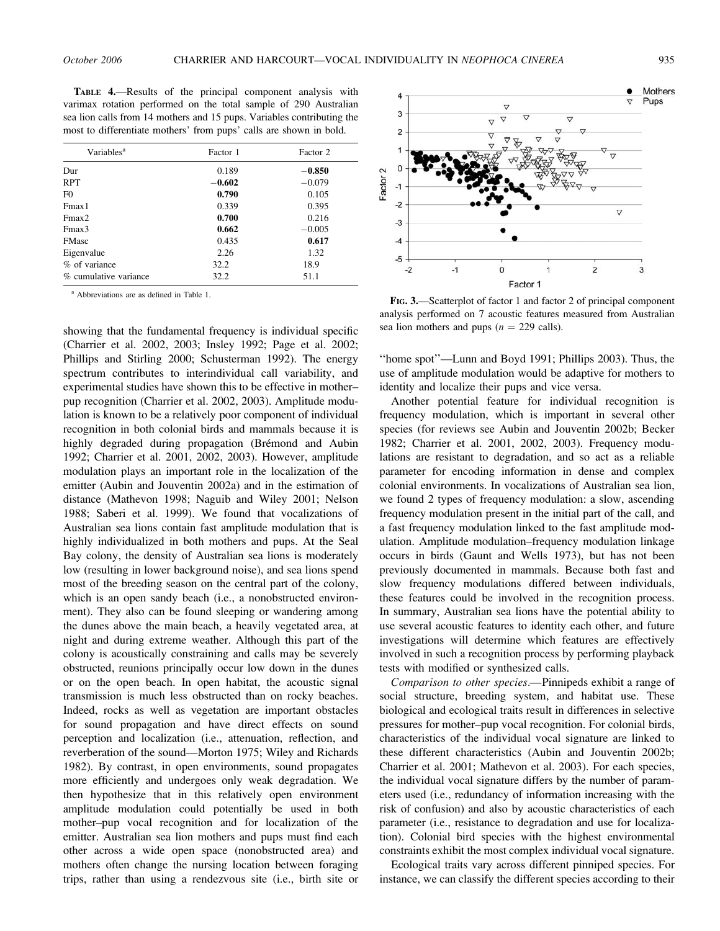TABLE 4.—Results of the principal component analysis with varimax rotation performed on the total sample of 290 Australian sea lion calls from 14 mothers and 15 pups. Variables contributing the most to differentiate mothers' from pups' calls are shown in bold.

| Variables <sup>a</sup> | Factor 1 | Factor 2 |  |  |
|------------------------|----------|----------|--|--|
| Dur                    | 0.189    | $-0.850$ |  |  |
| <b>RPT</b>             | $-0.602$ | $-0.079$ |  |  |
| F <sub>0</sub>         | 0.790    | 0.105    |  |  |
| Fmax1                  | 0.339    | 0.395    |  |  |
| Fmax <sub>2</sub>      | 0.700    | 0.216    |  |  |
| Fmax3                  | 0.662    | $-0.005$ |  |  |
| <b>FMasc</b>           | 0.435    | 0.617    |  |  |
| Eigenvalue             | 2.26     | 1.32     |  |  |
| % of variance          | 32.2     | 18.9     |  |  |
| % cumulative variance  | 32.2     | 51.1     |  |  |

showing that the fundamental frequency is individual specific (Charrier et al. 2002, 2003; Insley 1992; Page et al. 2002; Phillips and Stirling 2000; Schusterman 1992). The energy spectrum contributes to interindividual call variability, and experimental studies have shown this to be effective in mother– pup recognition (Charrier et al. 2002, 2003). Amplitude modulation is known to be a relatively poor component of individual recognition in both colonial birds and mammals because it is highly degraded during propagation (Brémond and Aubin 1992; Charrier et al. 2001, 2002, 2003). However, amplitude modulation plays an important role in the localization of the emitter (Aubin and Jouventin 2002a) and in the estimation of distance (Mathevon 1998; Naguib and Wiley 2001; Nelson 1988; Saberi et al. 1999). We found that vocalizations of Australian sea lions contain fast amplitude modulation that is highly individualized in both mothers and pups. At the Seal Bay colony, the density of Australian sea lions is moderately low (resulting in lower background noise), and sea lions spend most of the breeding season on the central part of the colony, which is an open sandy beach (i.e., a nonobstructed environment). They also can be found sleeping or wandering among the dunes above the main beach, a heavily vegetated area, at night and during extreme weather. Although this part of the colony is acoustically constraining and calls may be severely obstructed, reunions principally occur low down in the dunes or on the open beach. In open habitat, the acoustic signal transmission is much less obstructed than on rocky beaches. Indeed, rocks as well as vegetation are important obstacles for sound propagation and have direct effects on sound perception and localization (i.e., attenuation, reflection, and reverberation of the sound—Morton 1975; Wiley and Richards 1982). By contrast, in open environments, sound propagates more efficiently and undergoes only weak degradation. We then hypothesize that in this relatively open environment amplitude modulation could potentially be used in both mother–pup vocal recognition and for localization of the emitter. Australian sea lion mothers and pups must find each other across a wide open space (nonobstructed area) and mothers often change the nursing location between foraging trips, rather than using a rendezvous site (i.e., birth site or



a Abbreviations are as defined in Table 1.  $\Gamma$  FIG. 3. Scatterplot of factor 1 and factor 2 of principal component analysis performed on 7 acoustic features measured from Australian sea lion mothers and pups ( $n = 229$  calls).

''home spot''—Lunn and Boyd 1991; Phillips 2003). Thus, the use of amplitude modulation would be adaptive for mothers to identity and localize their pups and vice versa.

Another potential feature for individual recognition is frequency modulation, which is important in several other species (for reviews see Aubin and Jouventin 2002b; Becker 1982; Charrier et al. 2001, 2002, 2003). Frequency modulations are resistant to degradation, and so act as a reliable parameter for encoding information in dense and complex colonial environments. In vocalizations of Australian sea lion, we found 2 types of frequency modulation: a slow, ascending frequency modulation present in the initial part of the call, and a fast frequency modulation linked to the fast amplitude modulation. Amplitude modulation–frequency modulation linkage occurs in birds (Gaunt and Wells 1973), but has not been previously documented in mammals. Because both fast and slow frequency modulations differed between individuals, these features could be involved in the recognition process. In summary, Australian sea lions have the potential ability to use several acoustic features to identity each other, and future investigations will determine which features are effectively involved in such a recognition process by performing playback tests with modified or synthesized calls.

Comparison to other species.—Pinnipeds exhibit a range of social structure, breeding system, and habitat use. These biological and ecological traits result in differences in selective pressures for mother–pup vocal recognition. For colonial birds, characteristics of the individual vocal signature are linked to these different characteristics (Aubin and Jouventin 2002b; Charrier et al. 2001; Mathevon et al. 2003). For each species, the individual vocal signature differs by the number of parameters used (i.e., redundancy of information increasing with the risk of confusion) and also by acoustic characteristics of each parameter (i.e., resistance to degradation and use for localization). Colonial bird species with the highest environmental constraints exhibit the most complex individual vocal signature.

Ecological traits vary across different pinniped species. For instance, we can classify the different species according to their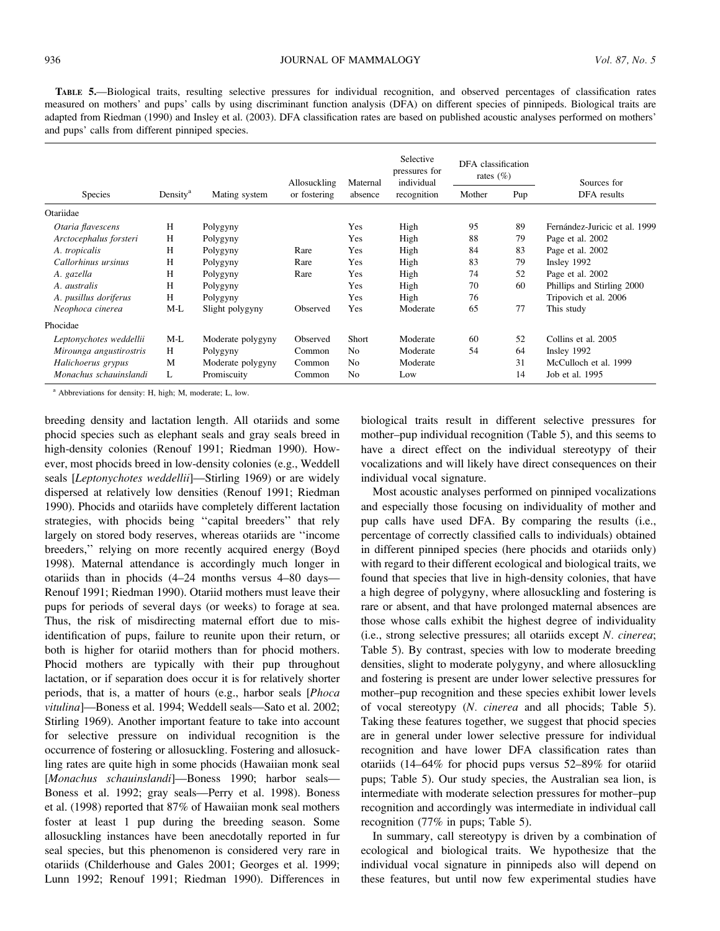TABLE 5.—Biological traits, resulting selective pressures for individual recognition, and observed percentages of classification rates measured on mothers' and pups' calls by using discriminant function analysis (DFA) on different species of pinnipeds. Biological traits are adapted from Riedman (1990) and Insley et al. (2003). DFA classification rates are based on published acoustic analyses performed on mothers' and pups' calls from different pinniped species.

|                         | Density <sup>a</sup> | Mating system     | <b>Allosuckling</b><br>or fostering | Maternal<br>absence | Selective<br>pressures for<br>individual<br>recognition | DFA classification<br>rates $(\% )$ |     | Sources for                   |
|-------------------------|----------------------|-------------------|-------------------------------------|---------------------|---------------------------------------------------------|-------------------------------------|-----|-------------------------------|
| <b>Species</b>          |                      |                   |                                     |                     |                                                         | Mother                              | Pup | DFA results                   |
| Otariidae               |                      |                   |                                     |                     |                                                         |                                     |     |                               |
| Otaria flavescens       | H                    | Polygyny          |                                     | Yes                 | High                                                    | 95                                  | 89  | Fernández-Juricic et al. 1999 |
| Arctocephalus forsteri  | H                    | Polygyny          |                                     | Yes                 | High                                                    | 88                                  | 79  | Page et al. 2002              |
| A. tropicalis           | H                    | Polygyny          | Rare                                | Yes                 | High                                                    | 84                                  | 83  | Page et al. 2002              |
| Callorhinus ursinus     | H                    | Polygyny          | Rare                                | Yes                 | High                                                    | 83                                  | 79  | Insley 1992                   |
| A. gazella              | H                    | Polygyny          | Rare                                | Yes                 | High                                                    | 74                                  | 52  | Page et al. 2002              |
| A. australis            | H                    | Polygyny          |                                     | Yes                 | High                                                    | 70                                  | 60  | Phillips and Stirling 2000    |
| A. pusillus doriferus   | H                    | Polygyny          |                                     | Yes                 | High                                                    | 76                                  |     | Tripovich et al. 2006         |
| Neophoca cinerea        | $M-L$                | Slight polygyny   | Observed                            | Yes                 | Moderate                                                | 65                                  | 77  | This study                    |
| Phocidae                |                      |                   |                                     |                     |                                                         |                                     |     |                               |
| Leptonychotes weddellii | M-L                  | Moderate polygyny | Observed                            | Short               | Moderate                                                | 60                                  | 52  | Collins et al. 2005           |
| Mirounga angustirostris | H                    | Polygyny          | Common                              | N <sub>0</sub>      | Moderate                                                | 54                                  | 64  | Insley 1992                   |
| Halichoerus grypus      | M                    | Moderate polygyny | Common                              | N <sub>0</sub>      | Moderate                                                |                                     | 31  | McCulloch et al. 1999         |
| Monachus schauinslandi  | L                    | Promiscuity       | Common                              | N <sub>0</sub>      | Low                                                     |                                     | 14  | Job et al. 1995               |

<sup>a</sup> Abbreviations for density: H, high; M, moderate; L, low.

breeding density and lactation length. All otariids and some phocid species such as elephant seals and gray seals breed in high-density colonies (Renouf 1991; Riedman 1990). However, most phocids breed in low-density colonies (e.g., Weddell seals [Leptonychotes weddellii]—Stirling 1969) or are widely dispersed at relatively low densities (Renouf 1991; Riedman 1990). Phocids and otariids have completely different lactation strategies, with phocids being ''capital breeders'' that rely largely on stored body reserves, whereas otariids are ''income breeders,'' relying on more recently acquired energy (Boyd 1998). Maternal attendance is accordingly much longer in otariids than in phocids (4–24 months versus 4–80 days— Renouf 1991; Riedman 1990). Otariid mothers must leave their pups for periods of several days (or weeks) to forage at sea. Thus, the risk of misdirecting maternal effort due to misidentification of pups, failure to reunite upon their return, or both is higher for otariid mothers than for phocid mothers. Phocid mothers are typically with their pup throughout lactation, or if separation does occur it is for relatively shorter periods, that is, a matter of hours (e.g., harbor seals [Phoca vitulina]—Boness et al. 1994; Weddell seals—Sato et al. 2002; Stirling 1969). Another important feature to take into account for selective pressure on individual recognition is the occurrence of fostering or allosuckling. Fostering and allosuckling rates are quite high in some phocids (Hawaiian monk seal [Monachus schauinslandi]—Boness 1990; harbor seals— Boness et al. 1992; gray seals—Perry et al. 1998). Boness et al. (1998) reported that 87% of Hawaiian monk seal mothers foster at least 1 pup during the breeding season. Some allosuckling instances have been anecdotally reported in fur seal species, but this phenomenon is considered very rare in otariids (Childerhouse and Gales 2001; Georges et al. 1999; Lunn 1992; Renouf 1991; Riedman 1990). Differences in

biological traits result in different selective pressures for mother–pup individual recognition (Table 5), and this seems to have a direct effect on the individual stereotypy of their vocalizations and will likely have direct consequences on their individual vocal signature.

Most acoustic analyses performed on pinniped vocalizations and especially those focusing on individuality of mother and pup calls have used DFA. By comparing the results (i.e., percentage of correctly classified calls to individuals) obtained in different pinniped species (here phocids and otariids only) with regard to their different ecological and biological traits, we found that species that live in high-density colonies, that have a high degree of polygyny, where allosuckling and fostering is rare or absent, and that have prolonged maternal absences are those whose calls exhibit the highest degree of individuality (i.e., strong selective pressures; all otariids except N. cinerea; Table 5). By contrast, species with low to moderate breeding densities, slight to moderate polygyny, and where allosuckling and fostering is present are under lower selective pressures for mother–pup recognition and these species exhibit lower levels of vocal stereotypy (N. cinerea and all phocids; Table 5). Taking these features together, we suggest that phocid species are in general under lower selective pressure for individual recognition and have lower DFA classification rates than otariids (14–64% for phocid pups versus 52–89% for otariid pups; Table 5). Our study species, the Australian sea lion, is intermediate with moderate selection pressures for mother–pup recognition and accordingly was intermediate in individual call recognition (77% in pups; Table 5).

In summary, call stereotypy is driven by a combination of ecological and biological traits. We hypothesize that the individual vocal signature in pinnipeds also will depend on these features, but until now few experimental studies have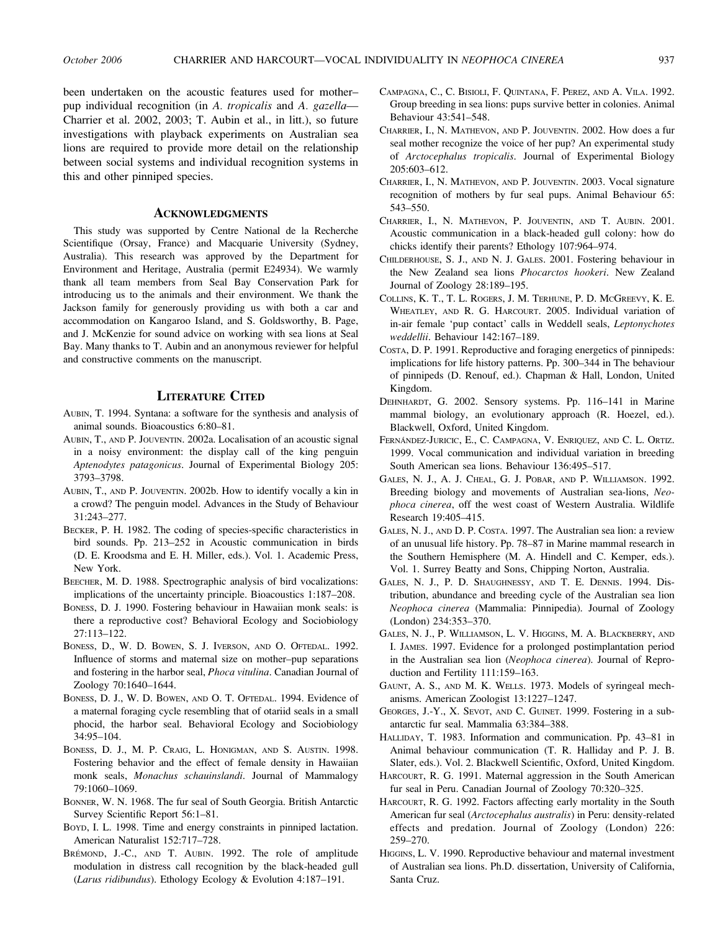been undertaken on the acoustic features used for mother– pup individual recognition (in A. tropicalis and A. gazella— Charrier et al. 2002, 2003; T. Aubin et al., in litt.), so future investigations with playback experiments on Australian sea lions are required to provide more detail on the relationship between social systems and individual recognition systems in this and other pinniped species.

### ACKNOWLEDGMENTS

This study was supported by Centre National de la Recherche Scientifique (Orsay, France) and Macquarie University (Sydney, Australia). This research was approved by the Department for Environment and Heritage, Australia (permit E24934). We warmly thank all team members from Seal Bay Conservation Park for introducing us to the animals and their environment. We thank the Jackson family for generously providing us with both a car and accommodation on Kangaroo Island, and S. Goldsworthy, B. Page, and J. McKenzie for sound advice on working with sea lions at Seal Bay. Many thanks to T. Aubin and an anonymous reviewer for helpful and constructive comments on the manuscript.

# LITERATURE CITED

- AUBIN, T. 1994. Syntana: a software for the synthesis and analysis of animal sounds. Bioacoustics 6:80–81.
- AUBIN, T., AND P. JOUVENTIN. 2002a. Localisation of an acoustic signal in a noisy environment: the display call of the king penguin Aptenodytes patagonicus. Journal of Experimental Biology 205: 3793–3798.
- AUBIN, T., AND P. JOUVENTIN. 2002b. How to identify vocally a kin in a crowd? The penguin model. Advances in the Study of Behaviour 31:243–277.
- BECKER, P. H. 1982. The coding of species-specific characteristics in bird sounds. Pp. 213–252 in Acoustic communication in birds (D. E. Kroodsma and E. H. Miller, eds.). Vol. 1. Academic Press, New York.
- BEECHER, M. D. 1988. Spectrographic analysis of bird vocalizations: implications of the uncertainty principle. Bioacoustics 1:187–208.
- BONESS, D. J. 1990. Fostering behaviour in Hawaiian monk seals: is there a reproductive cost? Behavioral Ecology and Sociobiology  $27.113 - 122$
- BONESS, D., W. D. BOWEN, S. J. IVERSON, AND O. OFTEDAL. 1992. Influence of storms and maternal size on mother–pup separations and fostering in the harbor seal, Phoca vitulina. Canadian Journal of Zoology 70:1640–1644.
- BONESS, D. J., W. D. BOWEN, AND O. T. OFTEDAL. 1994. Evidence of a maternal foraging cycle resembling that of otariid seals in a small phocid, the harbor seal. Behavioral Ecology and Sociobiology 34:95–104.
- BONESS, D. J., M. P. Craig, L. HONIGMAN, AND S. AUSTIN. 1998. Fostering behavior and the effect of female density in Hawaiian monk seals, Monachus schauinslandi. Journal of Mammalogy 79:1060–1069.
- BONNER, W. N. 1968. The fur seal of South Georgia. British Antarctic Survey Scientific Report 56:1–81.
- BOYD, I. L. 1998. Time and energy constraints in pinniped lactation. American Naturalist 152:717–728.
- BRÉMOND, J.-C., AND T. AUBIN. 1992. The role of amplitude modulation in distress call recognition by the black-headed gull (Larus ridibundus). Ethology Ecology & Evolution 4:187–191.
- CAMPAGNA, C., C. BISIOLI, F. QUINTANA, F. PEREZ, AND A. VILA. 1992. Group breeding in sea lions: pups survive better in colonies. Animal Behaviour 43:541–548.
- CHARRIER, I., N. MATHEVON, AND P. JOUVENTIN. 2002. How does a fur seal mother recognize the voice of her pup? An experimental study of Arctocephalus tropicalis. Journal of Experimental Biology 205:603–612.
- CHARRIER, I., N. MATHEVON, AND P. JOUVENTIN. 2003. Vocal signature recognition of mothers by fur seal pups. Animal Behaviour 65: 543–550.
- CHARRIER, I., N. MATHEVON, P. JOUVENTIN, AND T. AUBIN. 2001. Acoustic communication in a black-headed gull colony: how do chicks identify their parents? Ethology 107:964–974.
- CHILDERHOUSE, S. J., AND N. J. GALES. 2001. Fostering behaviour in the New Zealand sea lions Phocarctos hookeri. New Zealand Journal of Zoology 28:189–195.
- COLLINS, K. T., T. L. ROGERS, J. M. TERHUNE, P. D. MCGREEVY, K. E. WHEATLEY, AND R. G. HARCOURT. 2005. Individual variation of in-air female 'pup contact' calls in Weddell seals, Leptonychotes weddellii. Behaviour 142:167–189.
- COSTA, D. P. 1991. Reproductive and foraging energetics of pinnipeds: implications for life history patterns. Pp. 300–344 in The behaviour of pinnipeds (D. Renouf, ed.). Chapman & Hall, London, United Kingdom.
- DEHNHARDT, G. 2002. Sensory systems. Pp. 116–141 in Marine mammal biology, an evolutionary approach (R. Hoezel, ed.). Blackwell, Oxford, United Kingdom.
- FERNÁNDEZ-JURICIC, E., C. CAMPAGNA, V. ENRIQUEZ, AND C. L. ORTIZ. 1999. Vocal communication and individual variation in breeding South American sea lions. Behaviour 136:495–517.
- GALES, N. J., A. J. CHEAL, G. J. POBAR, AND P. WILLIAMSON. 1992. Breeding biology and movements of Australian sea-lions, Neophoca cinerea, off the west coast of Western Australia. Wildlife Research 19:405–415.
- GALES, N. J., AND D. P. COSTA. 1997. The Australian sea lion: a review of an unusual life history. Pp. 78–87 in Marine mammal research in the Southern Hemisphere (M. A. Hindell and C. Kemper, eds.). Vol. 1. Surrey Beatty and Sons, Chipping Norton, Australia.
- GALES, N. J., P. D. SHAUGHNESSY, AND T. E. DENNIS. 1994. Distribution, abundance and breeding cycle of the Australian sea lion Neophoca cinerea (Mammalia: Pinnipedia). Journal of Zoology (London) 234:353–370.
- GALES, N. J., P. WILLIAMSON, L. V. HIGGINS, M. A. BLACKBERRY, AND I. JAMES. 1997. Evidence for a prolonged postimplantation period in the Australian sea lion (Neophoca cinerea). Journal of Reproduction and Fertility 111:159–163.
- GAUNT, A. S., AND M. K. WELLS. 1973. Models of syringeal mechanisms. American Zoologist 13:1227–1247.
- GEORGES, J.-Y., X. SEVOT, AND C. GUINET. 1999. Fostering in a subantarctic fur seal. Mammalia 63:384–388.
- HALLIDAY, T. 1983. Information and communication. Pp. 43–81 in Animal behaviour communication (T. R. Halliday and P. J. B. Slater, eds.). Vol. 2. Blackwell Scientific, Oxford, United Kingdom.
- HARCOURT, R. G. 1991. Maternal aggression in the South American fur seal in Peru. Canadian Journal of Zoology 70:320–325.
- HARCOURT, R. G. 1992. Factors affecting early mortality in the South American fur seal (Arctocephalus australis) in Peru: density-related effects and predation. Journal of Zoology (London) 226: 259–270.
- HIGGINS, L. V. 1990. Reproductive behaviour and maternal investment of Australian sea lions. Ph.D. dissertation, University of California, Santa Cruz.